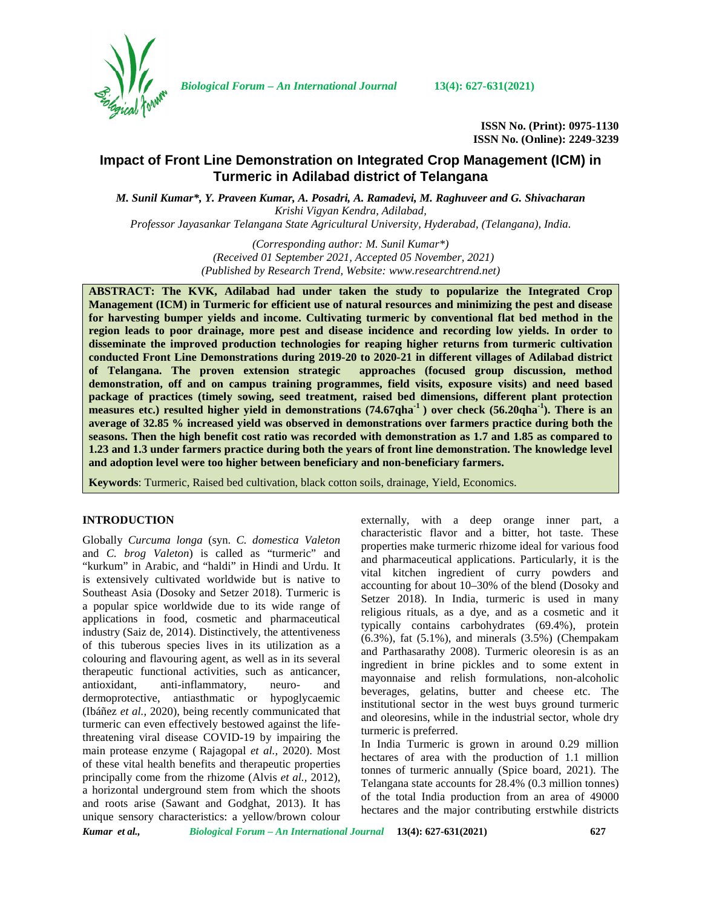

*Biological Forum – An International Journal* **13(4): 627-631(2021)**

**ISSN No. (Print): 0975-1130 ISSN No. (Online): 2249-3239**

# **Impact of Front Line Demonstration on Integrated Crop Management (ICM) in Turmeric in Adilabad district of Telangana**

*M. Sunil Kumar\*, Y. Praveen Kumar, A. Posadri, A. Ramadevi, M. Raghuveer and G. Shivacharan Krishi Vigyan Kendra, Adilabad,*

*Professor Jayasankar Telangana State Agricultural University, Hyderabad, (Telangana), India.*

*(Corresponding author: M. Sunil Kumar\*) (Received 01 September 2021, Accepted 05 November, 2021) (Published by Research Trend, Website: [www.researchtrend.net\)](www.researchtrend.net)*

**ABSTRACT: The KVK, Adilabad had under taken the study to popularize the Integrated Crop Management (ICM) in Turmeric for efficient use of natural resources and minimizing the pest and disease for harvesting bumper yields and income. Cultivating turmeric by conventional flat bed method in the region leads to poor drainage, more pest and disease incidence and recording low yields. In order to disseminate the improved production technologies for reaping higher returns from turmeric cultivation conducted Front Line Demonstrations during 2019-20 to 2020-21 in different villages of Adilabad district of Telangana. The proven extension strategic approaches (focused group discussion, method demonstration, off and on campus training programmes, field visits, exposure visits) and need based package of practices (timely sowing, seed treatment, raised bed dimensions, different plant protection measures etc.) resulted higher yield in demonstrations (74.67qha-1 ) over check (56.20qha-1). There is an average of 32.85 % increased yield was observed in demonstrations over farmers practice during both the seasons. Then the high benefit cost ratio was recorded with demonstration as 1.7 and 1.85 as compared to 1.23 and 1.3 under farmers practice during both the years of front line demonstration. The knowledge level and adoption level were too higher between beneficiary and non-beneficiary farmers.**

**Keywords**: Turmeric, Raised bed cultivation, black cotton soils, drainage, Yield, Economics.

#### **INTRODUCTION**

Globally *Curcuma longa* (syn. *C. domestica Valeton* and *C. brog Valeton*) is called as "turmeric" and "kurkum" in Arabic, and "haldi" in Hindi and Urdu. It is extensively cultivated worldwide but is native to Southeast Asia (Dosoky and Setzer 2018). Turmeric is a popular spice worldwide due to its wide range of applications in food, cosmetic and pharmaceutical industry (Saiz de, 2014). Distinctively, the attentiveness of this tuberous species lives in its utilization as a colouring and flavouring agent, as well as in its several therapeutic functional activities, such as anticancer, antioxidant, anti-inflammatory, neuro- and dermoprotective, antiasthmatic or hypoglycaemic (Ibáñez *et al.,* 2020), being recently communicated that turmeric can even effectively bestowed against the lifethreatening viral disease COVID-19 by impairing the main protease enzyme ( Rajagopal *et al.,* 2020). Most of these vital health benefits and therapeutic properties principally come from the rhizome (Alvis *et al.,* 2012), a horizontal underground stem from which the shoots and roots arise (Sawant and Godghat, 2013). It has unique sensory characteristics: a yellow/brown colour

externally, with a deep orange inner part, a characteristic flavor and a bitter, hot taste. These properties make turmeric rhizome ideal for various food and pharmaceutical applications. Particularly, it is the vital kitchen ingredient of curry powders and accounting for about 10–30% of the blend (Dosoky and Setzer 2018). In India, turmeric is used in many religious rituals, as a dye, and as a cosmetic and it typically contains carbohydrates (69.4%), protein (6.3%), fat (5.1%), and minerals (3.5%) (Chempakam and Parthasarathy 2008). Turmeric oleoresin is as an ingredient in brine pickles and to some extent in mayonnaise and relish formulations, non-alcoholic beverages, gelatins, butter and cheese etc. The institutional sector in the west buys ground turmeric and oleoresins, while in the industrial sector, whole dry turmeric is preferred.

In India Turmeric is grown in around 0.29 million hectares of area with the production of 1.1 million tonnes of turmeric annually (Spice board, 2021). The Telangana state accounts for 28.4% (0.3 million tonnes) of the total India production from an area of 49000 hectares and the major contributing erstwhile districts

*Kumar et al., Biological Forum – An International Journal* **13(4): 627-631(2021) 627**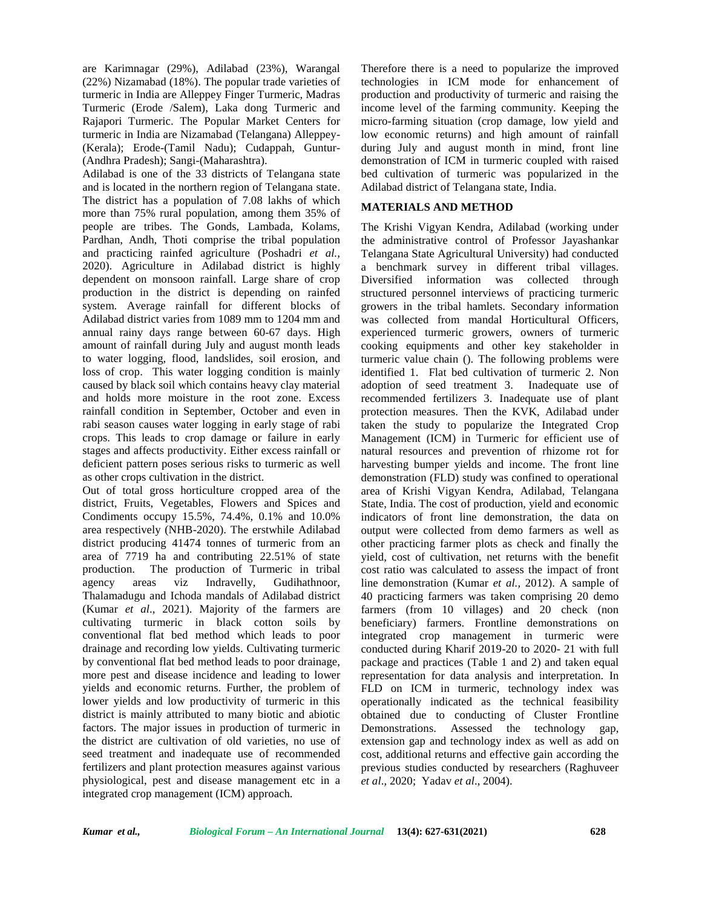are Karimnagar (29%), Adilabad (23%), Warangal (22%) Nizamabad (18%). The popular trade varieties of turmeric in India are Alleppey Finger Turmeric, Madras Turmeric (Erode /Salem), Laka dong Turmeric and Rajapori Turmeric. The Popular Market Centers for turmeric in India are Nizamabad (Telangana) Alleppey- (Kerala); Erode-(Tamil Nadu); Cudappah, Guntur- (Andhra Pradesh); Sangi-(Maharashtra).

Adilabad is one of the 33 districts of Telangana state and is located in the northern region of Telangana state. The district has a population of 7.08 lakhs of which more than 75% rural population, among them 35% of people are tribes. The Gonds, Lambada, Kolams, Pardhan, Andh, Thoti comprise the tribal population and practicing rainfed agriculture (Poshadri *et al.,* 2020). Agriculture in Adilabad district is highly dependent on monsoon rainfall. Large share of crop production in the district is depending on rainfed system. Average rainfall for different blocks of Adilabad district varies from 1089 mm to 1204 mm and annual rainy days range between 60-67 days. High amount of rainfall during July and august month leads to water logging, flood, landslides, soil erosion, and loss of crop. This water logging condition is mainly caused by black soil which contains heavy clay material and holds more moisture in the root zone. Excess rainfall condition in September, October and even in rabi season causes water logging in early stage of rabi crops. This leads to crop damage or failure in early stages and affects productivity. Either excess rainfall or deficient pattern poses serious risks to turmeric as well as other crops cultivation in the district.

Out of total gross horticulture cropped area of the district, Fruits, Vegetables, Flowers and Spices and Condiments occupy 15.5%, 74.4%, 0.1% and 10.0% area respectively (NHB-2020). The erstwhile Adilabad district producing 41474 tonnes of turmeric from an area of 7719 ha and contributing 22.51% of state production. The production of Turmeric in tribal agency areas viz Indravelly, Gudihathnoor, Thalamadugu and Ichoda mandals of Adilabad district (Kumar *et al*., 2021). Majority of the farmers are cultivating turmeric in black cotton soils by conventional flat bed method which leads to poor drainage and recording low yields. Cultivating turmeric by conventional flat bed method leads to poor drainage, more pest and disease incidence and leading to lower yields and economic returns. Further, the problem of lower yields and low productivity of turmeric in this district is mainly attributed to many biotic and abiotic factors. The major issues in production of turmeric in the district are cultivation of old varieties, no use of seed treatment and inadequate use of recommended fertilizers and plant protection measures against various physiological, pest and disease management etc in a integrated crop management (ICM) approach.

Therefore there is a need to popularize the improved technologies in ICM mode for enhancement of production and productivity of turmeric and raising the income level of the farming community. Keeping the micro-farming situation (crop damage, low yield and low economic returns) and high amount of rainfall during July and august month in mind, front line demonstration of ICM in turmeric coupled with raised bed cultivation of turmeric was popularized in the Adilabad district of Telangana state, India.

## **MATERIALS AND METHOD**

The Krishi Vigyan Kendra, Adilabad (working under the administrative control of Professor Jayashankar Telangana State Agricultural University) had conducted a benchmark survey in different tribal villages. Diversified information was collected through structured personnel interviews of practicing turmeric growers in the tribal hamlets. Secondary information was collected from mandal Horticultural Officers, experienced turmeric growers, owners of turmeric cooking equipments and other key stakeholder in turmeric value chain (). The following problems were identified 1. Flat bed cultivation of turmeric 2. Non adoption of seed treatment 3. Inadequate use of recommended fertilizers 3. Inadequate use of plant protection measures. Then the KVK, Adilabad under taken the study to popularize the Integrated Crop Management (ICM) in Turmeric for efficient use of natural resources and prevention of rhizome rot for harvesting bumper yields and income. The front line demonstration (FLD) study was confined to operational area of Krishi Vigyan Kendra, Adilabad, Telangana State, India. The cost of production, yield and economic indicators of front line demonstration, the data on output were collected from demo farmers as well as other practicing farmer plots as check and finally the yield, cost of cultivation, net returns with the benefit cost ratio was calculated to assess the impact of front line demonstration (Kumar *et al.,* 2012). A sample of 40 practicing farmers was taken comprising 20 demo farmers (from 10 villages) and 20 check (non beneficiary) farmers. Frontline demonstrations on integrated crop management in turmeric were conducted during Kharif 2019-20 to 2020- 21 with full package and practices (Table 1 and 2) and taken equal representation for data analysis and interpretation. In FLD on ICM in turmeric, technology index was operationally indicated as the technical feasibility obtained due to conducting of Cluster Frontline Demonstrations. Assessed the technology gap, extension gap and technology index as well as add on cost, additional returns and effective gain according the previous studies conducted by researchers (Raghuveer *et al*., 2020; Yadav *et al*., 2004).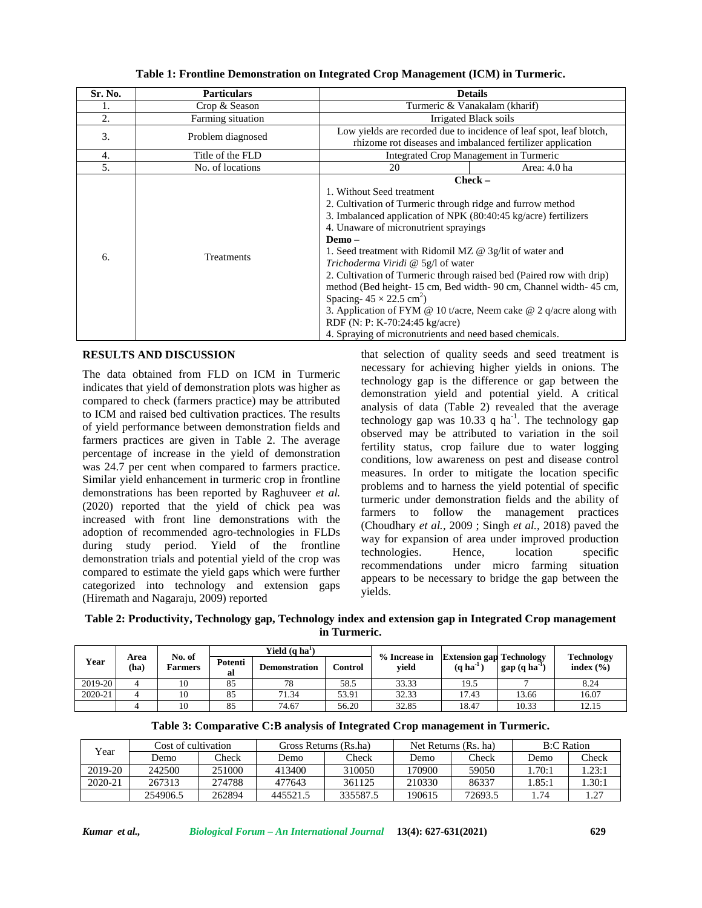| Sr. No. | <b>Particulars</b> | <b>Details</b>                                                                                                                                                                                                                                                                                                                                                                                                                                                                                                                                                                                                                                                                          |  |  |  |
|---------|--------------------|-----------------------------------------------------------------------------------------------------------------------------------------------------------------------------------------------------------------------------------------------------------------------------------------------------------------------------------------------------------------------------------------------------------------------------------------------------------------------------------------------------------------------------------------------------------------------------------------------------------------------------------------------------------------------------------------|--|--|--|
|         | Crop & Season      | Turmeric & Vanakalam (kharif)                                                                                                                                                                                                                                                                                                                                                                                                                                                                                                                                                                                                                                                           |  |  |  |
| 2.      | Farming situation  | Irrigated Black soils                                                                                                                                                                                                                                                                                                                                                                                                                                                                                                                                                                                                                                                                   |  |  |  |
| 3.      | Problem diagnosed  | Low yields are recorded due to incidence of leaf spot, leaf blotch,<br>rhizome rot diseases and imbalanced fertilizer application                                                                                                                                                                                                                                                                                                                                                                                                                                                                                                                                                       |  |  |  |
| 4.      | Title of the FLD   | Integrated Crop Management in Turmeric                                                                                                                                                                                                                                                                                                                                                                                                                                                                                                                                                                                                                                                  |  |  |  |
| 5.      | No. of locations   | 20<br>Area: 4.0 ha                                                                                                                                                                                                                                                                                                                                                                                                                                                                                                                                                                                                                                                                      |  |  |  |
| 6.      | Treatments         | $Check -$<br>1. Without Seed treatment<br>2. Cultivation of Turmeric through ridge and furrow method<br>3. Imbalanced application of NPK (80:40:45 kg/acre) fertilizers<br>4. Unaware of micronutrient sprayings<br>Demo-<br>1. Seed treatment with Ridomil MZ @ 3g/lit of water and<br>Trichoderma Viridi @ 5g/l of water<br>2. Cultivation of Turmeric through raised bed (Paired row with drip)<br>method (Bed height-15 cm, Bed width-90 cm, Channel width-45 cm,<br>Spacing- $45 \times 22.5$ cm <sup>2</sup> )<br>3. Application of FYM @ 10 t/acre, Neem cake @ 2 q/acre along with<br>RDF (N: P: K-70:24:45 kg/acre)<br>4. Spraying of micronutrients and need based chemicals. |  |  |  |

**Table 1: Frontline Demonstration on Integrated Crop Management (ICM) in Turmeric.**

## **RESULTS AND DISCUSSION**

The data obtained from FLD on ICM in Turmeric indicates that yield of demonstration plots was higher as compared to check (farmers practice) may be attributed to ICM and raised bed cultivation practices. The results of yield performance between demonstration fields and farmers practices are given in Table 2. The average percentage of increase in the yield of demonstration was 24.7 per cent when compared to farmers practice. Similar yield enhancement in turmeric crop in frontline demonstrations has been reported by Raghuveer *et al.* (2020) reported that the yield of chick pea was increased with front line demonstrations with the adoption of recommended agro-technologies in FLDs during study period. Yield of the frontline demonstration trials and potential yield of the crop was compared to estimate the yield gaps which were further categorized into technology and extension gaps (Hiremath and Nagaraju, 2009) reported

that selection of quality seeds and seed treatment is necessary for achieving higher yields in onions. The technology gap is the difference or gap between the demonstration yield and potential yield. A critical analysis of data (Table 2) revealed that the average technology gap was  $10.33$  q ha<sup>-1</sup>. The technology gap observed may be attributed to variation in the soil fertility status, crop failure due to water logging conditions, low awareness on pest and disease control measures. In order to mitigate the location specific problems and to harness the yield potential of specific turmeric under demonstration fields and the ability of farmers to follow the management practices (Choudhary *et al.*, 2009 ; Singh *et al.,* 2018) paved the way for expansion of area under improved production technologies. Hence, location specific recommendations under micro farming situation appears to be necessary to bridge the gap between the yields.

**Table 2: Productivity, Technology gap, Technology index and extension gap in Integrated Crop management in Turmeric.**

|         |              | No. of  | Yield (q ha <sup>1</sup> ) |                      |                | % Increase in |                                                     |               | <b>Technology</b> |
|---------|--------------|---------|----------------------------|----------------------|----------------|---------------|-----------------------------------------------------|---------------|-------------------|
| Year    | Area<br>(ha) | Farmers | Potenti<br>al              | <b>Demonstration</b> | <b>Control</b> | yield         | <b>Extension gap Technology</b><br>$(q \, ha^{-1})$ | $gap(q ha-1)$ | index $(\% )$     |
| 2019-20 |              | 10      | 85                         | 78                   | 58.5           | 33.33         | 19.5                                                |               | 8.24              |
| 2020-21 |              | 10      | 85                         | 71.34                | 53.91          | 32.33         | 17.43                                               | 13.66         | 16.07             |
|         |              | 10      | 85                         | 74.67                | 56.20          | 32.85         | 18.47                                               | 10.33         | 12.15             |

|  |  | Table 3: Comparative C:B analysis of Integrated Crop management in Turmeric. |  |
|--|--|------------------------------------------------------------------------------|--|
|  |  |                                                                              |  |

| $v_{\text{ear}}$ | Cost of cultivation |               | Gross Returns (Rs.ha) |                   | Net Returns (Rs. ha) |         | <b>B:C Ration</b> |         |
|------------------|---------------------|---------------|-----------------------|-------------------|----------------------|---------|-------------------|---------|
|                  | Demo                | $\gamma$ heck | Demo                  | $\mathbb{C}$ heck | Demo                 | Check   | Demo              | Check   |
| 2019-20          | 242500              | 251000        | 413400                | 310050            | ' 70900              | 59050   | .70:1             | .23:1   |
| 2020-21          | 267313              | 274788        | 477643                | 361125            | 210330               | 86337   | .85:1             | .30:1   |
|                  | 254906.5            | 262894        | 445521.5              | 335587.5          | 190615               | 72693.5 | .74               | 27<br>. |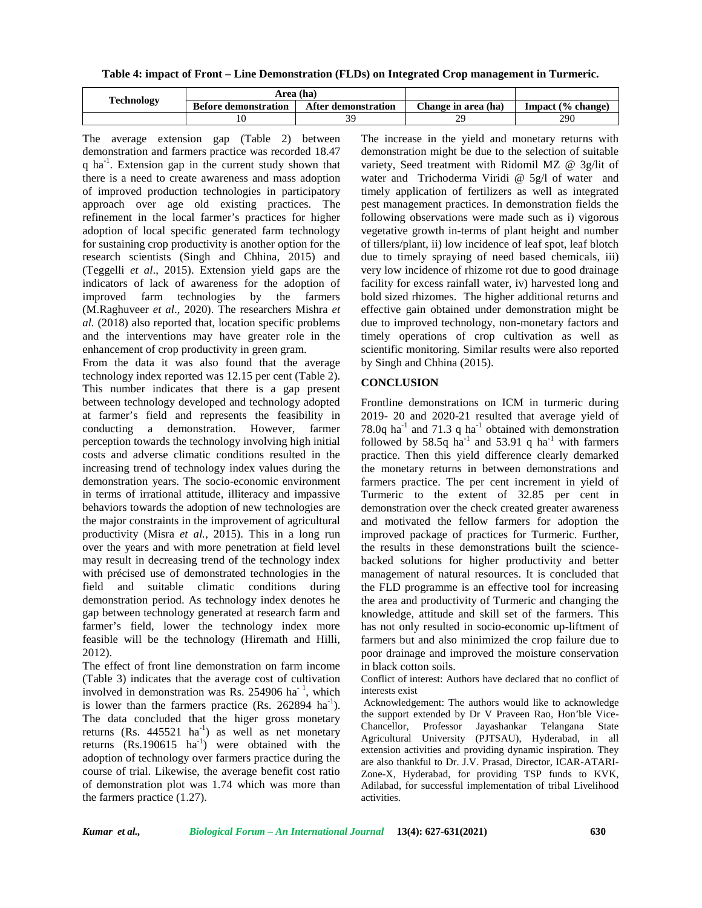**Table 4: impact of Front – Line Demonstration (FLDs) on Integrated Crop management in Turmeric.**

|                   |                             | Area (ha)           |                     |                             |
|-------------------|-----------------------------|---------------------|---------------------|-----------------------------|
| <b>Technology</b> | <b>Before demonstration</b> | After demonstration | Change in area (ha) | (% change)<br><b>Impact</b> |
|                   |                             |                     |                     | 290                         |

The average extension gap (Table 2) between demonstration and farmers practice was recorded 18.47 q ha<sup>-1</sup>. Extension gap in the current study shown that there is a need to create awareness and mass adoption of improved production technologies in participatory approach over age old existing practices. The refinement in the local farmer's practices for higher adoption of local specific generated farm technology for sustaining crop productivity is another option for the research scientists (Singh and Chhina, 2015) and (Teggelli *et al*., 2015). Extension yield gaps are the indicators of lack of awareness for the adoption of improved farm technologies by the farmers (M.Raghuveer *et al*., 2020). The researchers Mishra *et al.* (2018) also reported that, location specific problems and the interventions may have greater role in the enhancement of crop productivity in green gram.

From the data it was also found that the average technology index reported was 12.15 per cent (Table 2). This number indicates that there is a gap present between technology developed and technology adopted at farmer's field and represents the feasibility in conducting a demonstration. However, farmer perception towards the technology involving high initial costs and adverse climatic conditions resulted in the increasing trend of technology index values during the demonstration years. The socio-economic environment in terms of irrational attitude, illiteracy and impassive behaviors towards the adoption of new technologies are the major constraints in the improvement of agricultural productivity (Misra *et al.,* 2015). This in a long run over the years and with more penetration at field level may result in decreasing trend of the technology index with précised use of demonstrated technologies in the field and suitable climatic conditions during demonstration period. As technology index denotes he gap between technology generated at research farm and farmer's field, lower the technology index more feasible will be the technology (Hiremath and Hilli, 2012).

The effect of front line demonstration on farm income (Table 3) indicates that the average cost of cultivation involved in demonstration was Rs. 254906 ha<sup>-1</sup>, which intere is lower than the farmers practice  $(Rs. 262894 ha<sup>-1</sup>)$ . The data concluded that the higer gross monetary returns (Rs.  $445521$  ha<sup>-1</sup>) as well as net monetary returns  $(Rs.190615 \text{ ha}^{-1})$  were obtained with the adoption of technology over farmers practice during the course of trial. Likewise, the average benefit cost ratio of demonstration plot was 1.74 which was more than the farmers practice (1.27).

The increase in the yield and monetary returns with demonstration might be due to the selection of suitable variety, Seed treatment with Ridomil MZ @ 3g/lit of water and Trichoderma Viridi @ 5g/l of water and timely application of fertilizers as well as integrated pest management practices. In demonstration fields the following observations were made such as i) vigorous vegetative growth in-terms of plant height and number of tillers/plant, ii) low incidence of leaf spot, leaf blotch due to timely spraying of need based chemicals, iii) very low incidence of rhizome rot due to good drainage facility for excess rainfall water, iv) harvested long and bold sized rhizomes. The higher additional returns and effective gain obtained under demonstration might be due to improved technology, non-monetary factors and timely operations of crop cultivation as well as scientific monitoring. Similar results were also reported by Singh and Chhina (2015).

## **CONCLUSION**

Frontline demonstrations on ICM in turmeric during 2019- 20 and 2020-21 resulted that average yield of 78.0q ha<sup>-1</sup> and 71.3 q ha<sup>-1</sup> obtained with demonstration followed by 58.5q  $ha^{-1}$  and 53.91 q  $ha^{-1}$  with farmers practice. Then this yield difference clearly demarked the monetary returns in between demonstrations and farmers practice. The per cent increment in yield of Turmeric to the extent of 32.85 per cent in demonstration over the check created greater awareness and motivated the fellow farmers for adoption the improved package of practices for Turmeric. Further, the results in these demonstrations built the science backed solutions for higher productivity and better management of natural resources. It is concluded that the FLD programme is an effective tool for increasing the area and productivity of Turmeric and changing the knowledge, attitude and skill set of the farmers. This has not only resulted in socio-economic up-liftment of farmers but and also minimized the crop failure due to poor drainage and improved the moisture conservation in black cotton soils.

Conflict of interest: Authors have declared that no conflict of interests exist

Acknowledgement: The authors would like to acknowledge the support extended by Dr V Praveen Rao, Hon'ble Vice- Chancellor, Professor Jayashankar Telangana State Agricultural University (PJTSAU), Hyderabad, in all extension activities and providing dynamic inspiration. They are also thankful to Dr. J.V. Prasad, Director, ICAR-ATARI- Zone-X, Hyderabad, for providing TSP funds to KVK, Adilabad, for successful implementation of tribal Livelihood activities.